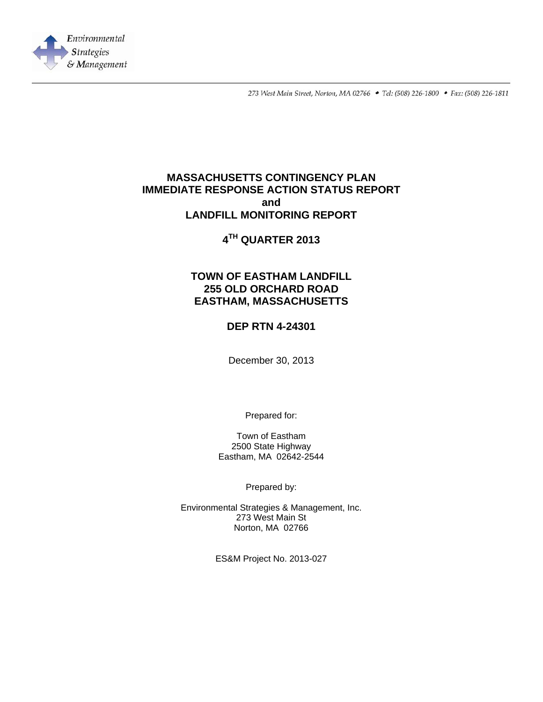

273 West Main Street, Norton, MA 02766 • Tel: (508) 226-1800 • Fax: (508) 226-1811

## **MASSACHUSETTS CONTINGENCY PLAN IMMEDIATE RESPONSE ACTION STATUS REPORT and LANDFILL MONITORING REPORT**

# **4TH QUARTER 2013**

## **TOWN OF EASTHAM LANDFILL 255 OLD ORCHARD ROAD EASTHAM, MASSACHUSETTS**

### **DEP RTN 4-24301**

December 30, 2013

Prepared for:

Town of Eastham 2500 State Highway Eastham, MA 02642-2544

Prepared by:

Environmental Strategies & Management, Inc. 273 West Main St Norton, MA 02766

ES&M Project No. 2013-027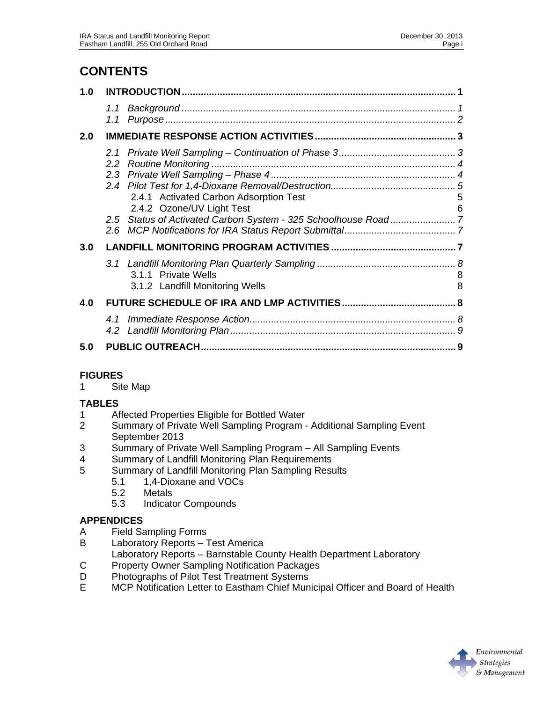# **CONTENTS**

| 1.0 |                                                                     |        |
|-----|---------------------------------------------------------------------|--------|
|     | 1.1                                                                 |        |
| 2.0 |                                                                     |        |
|     | 2.4.1 Activated Carbon Adsorption Test<br>2.4.2 Ozone/UV Light Test | 5<br>6 |
| 3.0 |                                                                     |        |
|     | 3.1.1 Private Wells<br>3.1.2 Landfill Monitoring Wells              | 8<br>8 |
| 4.0 |                                                                     |        |
|     |                                                                     |        |
| 5.0 |                                                                     |        |

### **FIGURES**

1 Site Map

### **TABLES**

- 1 Affected Properties Eligible for Bottled Water
- 2 Summary of Private Well Sampling Program Additional Sampling Event September 2013
- 3 Summary of Private Well Sampling Program All Sampling Events
- 4 Summary of Landfill Monitoring Plan Requirements
- 5 Summary of Landfill Monitoring Plan Sampling Results
	- 5.1 1,4-Dioxane and VOCs
	- 5.2 Metals
	- 5.3 Indicator Compounds

### **APPENDICES**

- A Field Sampling Forms
- B Laboratory Reports Test America
- Laboratory Reports Barnstable County Health Department Laboratory
- C Property Owner Sampling Notification Packages<br>D Photographs of Pilot Test Treatment Systems
- D Photographs of Pilot Test Treatment Systems<br>E MCP Notification Letter to Eastham Chief Mun
- MCP Notification Letter to Eastham Chief Municipal Officer and Board of Health

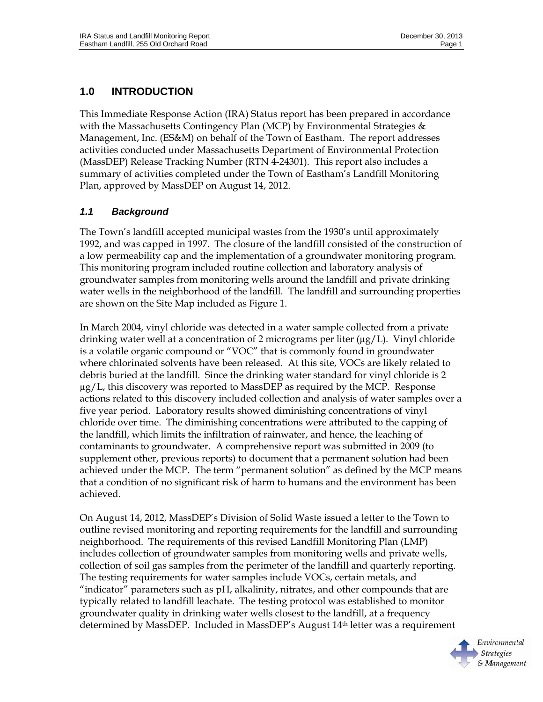# **1.0 INTRODUCTION**

This Immediate Response Action (IRA) Status report has been prepared in accordance with the Massachusetts Contingency Plan (MCP) by Environmental Strategies  $\&$ Management, Inc. (ES&M) on behalf of the Town of Eastham. The report addresses activities conducted under Massachusetts Department of Environmental Protection (MassDEP) Release Tracking Number (RTN 4-24301). This report also includes a summary of activities completed under the Town of Eastham's Landfill Monitoring Plan, approved by MassDEP on August 14, 2012.

## *1.1 Background*

The Town's landfill accepted municipal wastes from the 1930's until approximately 1992, and was capped in 1997. The closure of the landfill consisted of the construction of a low permeability cap and the implementation of a groundwater monitoring program. This monitoring program included routine collection and laboratory analysis of groundwater samples from monitoring wells around the landfill and private drinking water wells in the neighborhood of the landfill. The landfill and surrounding properties are shown on the Site Map included as Figure 1.

In March 2004, vinyl chloride was detected in a water sample collected from a private drinking water well at a concentration of 2 micrograms per liter  $(\mu g/L)$ . Vinyl chloride is a volatile organic compound or "VOC" that is commonly found in groundwater where chlorinated solvents have been released. At this site, VOCs are likely related to debris buried at the landfill. Since the drinking water standard for vinyl chloride is 2  $\mu$ g/L, this discovery was reported to MassDEP as required by the MCP. Response actions related to this discovery included collection and analysis of water samples over a five year period. Laboratory results showed diminishing concentrations of vinyl chloride over time. The diminishing concentrations were attributed to the capping of the landfill, which limits the infiltration of rainwater, and hence, the leaching of contaminants to groundwater. A comprehensive report was submitted in 2009 (to supplement other, previous reports) to document that a permanent solution had been achieved under the MCP. The term "permanent solution" as defined by the MCP means that a condition of no significant risk of harm to humans and the environment has been achieved.

On August 14, 2012, MassDEP's Division of Solid Waste issued a letter to the Town to outline revised monitoring and reporting requirements for the landfill and surrounding neighborhood. The requirements of this revised Landfill Monitoring Plan (LMP) includes collection of groundwater samples from monitoring wells and private wells, collection of soil gas samples from the perimeter of the landfill and quarterly reporting. The testing requirements for water samples include VOCs, certain metals, and "indicator" parameters such as pH, alkalinity, nitrates, and other compounds that are typically related to landfill leachate. The testing protocol was established to monitor groundwater quality in drinking water wells closest to the landfill, at a frequency determined by MassDEP. Included in MassDEP's August 14th letter was a requirement

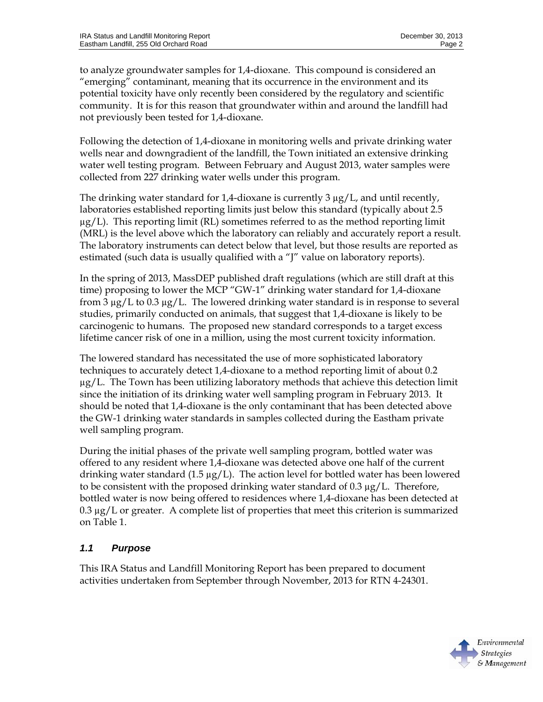to analyze groundwater samples for 1,4-dioxane. This compound is considered an "emerging" contaminant, meaning that its occurrence in the environment and its potential toxicity have only recently been considered by the regulatory and scientific community. It is for this reason that groundwater within and around the landfill had not previously been tested for 1,4-dioxane.

Following the detection of 1,4-dioxane in monitoring wells and private drinking water wells near and downgradient of the landfill, the Town initiated an extensive drinking water well testing program. Between February and August 2013, water samples were collected from 227 drinking water wells under this program.

The drinking water standard for 1,4-dioxane is currently  $3 \mu g/L$ , and until recently, laboratories established reporting limits just below this standard (typically about 2.5  $\mu$ g/L). This reporting limit (RL) sometimes referred to as the method reporting limit (MRL) is the level above which the laboratory can reliably and accurately report a result. The laboratory instruments can detect below that level, but those results are reported as estimated (such data is usually qualified with a "J" value on laboratory reports).

In the spring of 2013, MassDEP published draft regulations (which are still draft at this time) proposing to lower the MCP "GW-1" drinking water standard for 1,4-dioxane from 3 µg/L to 0.3 µg/L. The lowered drinking water standard is in response to several studies, primarily conducted on animals, that suggest that 1,4-dioxane is likely to be carcinogenic to humans. The proposed new standard corresponds to a target excess lifetime cancer risk of one in a million, using the most current toxicity information.

The lowered standard has necessitated the use of more sophisticated laboratory techniques to accurately detect 1,4-dioxane to a method reporting limit of about 0.2 µg/L. The Town has been utilizing laboratory methods that achieve this detection limit since the initiation of its drinking water well sampling program in February 2013. It should be noted that 1,4-dioxane is the only contaminant that has been detected above the GW-1 drinking water standards in samples collected during the Eastham private well sampling program.

During the initial phases of the private well sampling program, bottled water was offered to any resident where 1,4-dioxane was detected above one half of the current drinking water standard (1.5  $\mu$ g/L). The action level for bottled water has been lowered to be consistent with the proposed drinking water standard of 0.3 µg/L. Therefore, bottled water is now being offered to residences where 1,4-dioxane has been detected at 0.3 µg/L or greater. A complete list of properties that meet this criterion is summarized on Table 1.

## *1.1 Purpose*

This IRA Status and Landfill Monitoring Report has been prepared to document activities undertaken from September through November, 2013 for RTN 4-24301.

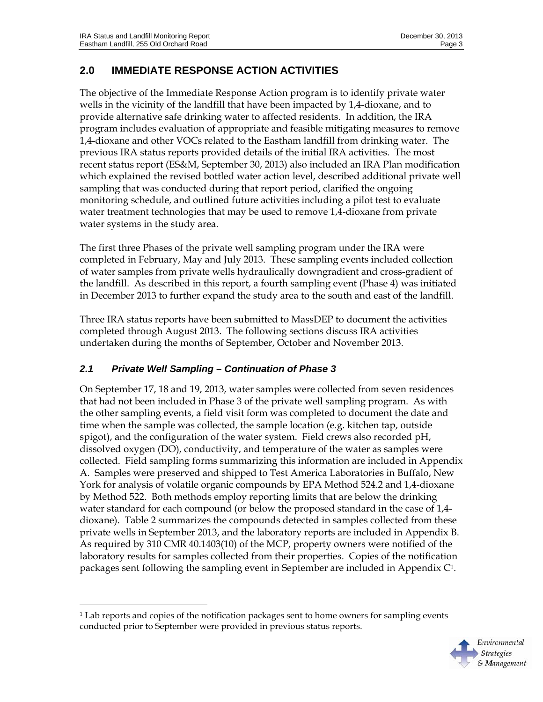# **2.0 IMMEDIATE RESPONSE ACTION ACTIVITIES**

The objective of the Immediate Response Action program is to identify private water wells in the vicinity of the landfill that have been impacted by 1,4-dioxane, and to provide alternative safe drinking water to affected residents. In addition, the IRA program includes evaluation of appropriate and feasible mitigating measures to remove 1,4-dioxane and other VOCs related to the Eastham landfill from drinking water. The previous IRA status reports provided details of the initial IRA activities. The most recent status report (ES&M, September 30, 2013) also included an IRA Plan modification which explained the revised bottled water action level, described additional private well sampling that was conducted during that report period, clarified the ongoing monitoring schedule, and outlined future activities including a pilot test to evaluate water treatment technologies that may be used to remove 1,4-dioxane from private water systems in the study area.

The first three Phases of the private well sampling program under the IRA were completed in February, May and July 2013. These sampling events included collection of water samples from private wells hydraulically downgradient and cross-gradient of the landfill. As described in this report, a fourth sampling event (Phase 4) was initiated in December 2013 to further expand the study area to the south and east of the landfill.

Three IRA status reports have been submitted to MassDEP to document the activities completed through August 2013. The following sections discuss IRA activities undertaken during the months of September, October and November 2013.

### *2.1 Private Well Sampling – Continuation of Phase 3*

-

On September 17, 18 and 19, 2013, water samples were collected from seven residences that had not been included in Phase 3 of the private well sampling program. As with the other sampling events, a field visit form was completed to document the date and time when the sample was collected, the sample location (e.g. kitchen tap, outside spigot), and the configuration of the water system. Field crews also recorded pH, dissolved oxygen (DO), conductivity, and temperature of the water as samples were collected. Field sampling forms summarizing this information are included in Appendix A. Samples were preserved and shipped to Test America Laboratories in Buffalo, New York for analysis of volatile organic compounds by EPA Method 524.2 and 1,4-dioxane by Method 522. Both methods employ reporting limits that are below the drinking water standard for each compound (or below the proposed standard in the case of 1,4 dioxane). Table 2 summarizes the compounds detected in samples collected from these private wells in September 2013, and the laboratory reports are included in Appendix B. As required by 310 CMR 40.1403(10) of the MCP, property owners were notified of the laboratory results for samples collected from their properties. Copies of the notification packages sent following the sampling event in September are included in Appendix C1.

<sup>&</sup>lt;sup>1</sup> Lab reports and copies of the notification packages sent to home owners for sampling events conducted prior to September were provided in previous status reports.

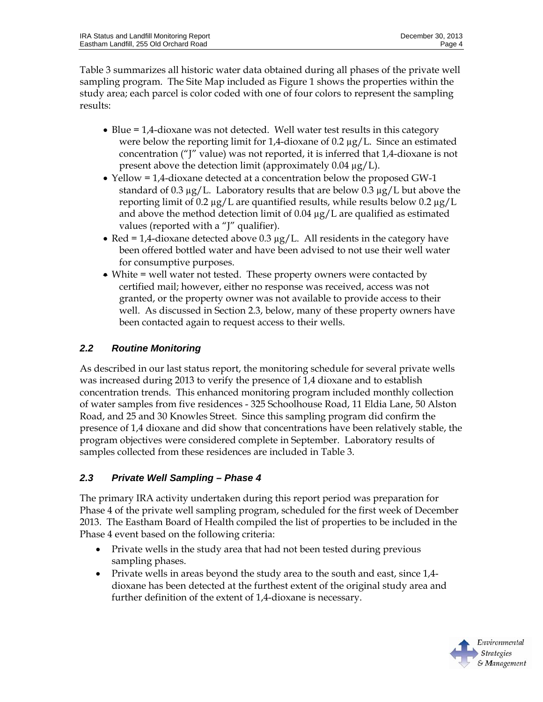Table 3 summarizes all historic water data obtained during all phases of the private well sampling program. The Site Map included as Figure 1 shows the properties within the study area; each parcel is color coded with one of four colors to represent the sampling results:

- Blue = 1,4-dioxane was not detected. Well water test results in this category were below the reporting limit for  $1,4$ -dioxane of 0.2  $\mu$ g/L. Since an estimated concentration ("J" value) was not reported, it is inferred that 1,4-dioxane is not present above the detection limit (approximately 0.04 µg/L).
- Yellow = 1,4-dioxane detected at a concentration below the proposed GW-1 standard of 0.3  $\mu$ g/L. Laboratory results that are below 0.3  $\mu$ g/L but above the reporting limit of 0.2  $\mu$ g/L are quantified results, while results below 0.2  $\mu$ g/L and above the method detection limit of  $0.04 \mu g/L$  are qualified as estimated values (reported with a "J" qualifier).
- Red = 1,4-dioxane detected above  $0.3 \mu g/L$ . All residents in the category have been offered bottled water and have been advised to not use their well water for consumptive purposes.
- White = well water not tested. These property owners were contacted by certified mail; however, either no response was received, access was not granted, or the property owner was not available to provide access to their well. As discussed in Section 2.3, below, many of these property owners have been contacted again to request access to their wells.

## *2.2 Routine Monitoring*

As described in our last status report, the monitoring schedule for several private wells was increased during 2013 to verify the presence of 1,4 dioxane and to establish concentration trends. This enhanced monitoring program included monthly collection of water samples from five residences - 325 Schoolhouse Road, 11 Eldia Lane, 50 Alston Road, and 25 and 30 Knowles Street. Since this sampling program did confirm the presence of 1,4 dioxane and did show that concentrations have been relatively stable, the program objectives were considered complete in September. Laboratory results of samples collected from these residences are included in Table 3.

### *2.3 Private Well Sampling – Phase 4*

The primary IRA activity undertaken during this report period was preparation for Phase 4 of the private well sampling program, scheduled for the first week of December 2013. The Eastham Board of Health compiled the list of properties to be included in the Phase 4 event based on the following criteria:

- Private wells in the study area that had not been tested during previous sampling phases.
- Private wells in areas beyond the study area to the south and east, since 1,4dioxane has been detected at the furthest extent of the original study area and further definition of the extent of 1,4-dioxane is necessary.

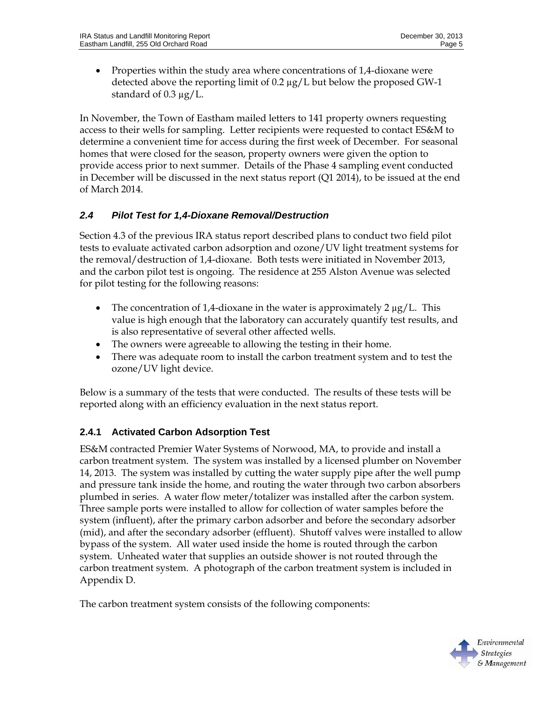• Properties within the study area where concentrations of 1,4-dioxane were detected above the reporting limit of 0.2 µg/L but below the proposed GW-1 standard of 0.3 µg/L.

In November, the Town of Eastham mailed letters to 141 property owners requesting access to their wells for sampling. Letter recipients were requested to contact ES&M to determine a convenient time for access during the first week of December. For seasonal homes that were closed for the season, property owners were given the option to provide access prior to next summer. Details of the Phase 4 sampling event conducted in December will be discussed in the next status report (Q1 2014), to be issued at the end of March 2014.

### *2.4 Pilot Test for 1,4-Dioxane Removal/Destruction*

Section 4.3 of the previous IRA status report described plans to conduct two field pilot tests to evaluate activated carbon adsorption and ozone/UV light treatment systems for the removal/destruction of 1,4-dioxane. Both tests were initiated in November 2013, and the carbon pilot test is ongoing. The residence at 255 Alston Avenue was selected for pilot testing for the following reasons:

- The concentration of 1,4-dioxane in the water is approximately 2  $\mu$ g/L. This value is high enough that the laboratory can accurately quantify test results, and is also representative of several other affected wells.
- The owners were agreeable to allowing the testing in their home.
- There was adequate room to install the carbon treatment system and to test the ozone/UV light device.

Below is a summary of the tests that were conducted. The results of these tests will be reported along with an efficiency evaluation in the next status report.

## **2.4.1 Activated Carbon Adsorption Test**

ES&M contracted Premier Water Systems of Norwood, MA, to provide and install a carbon treatment system. The system was installed by a licensed plumber on November 14, 2013. The system was installed by cutting the water supply pipe after the well pump and pressure tank inside the home, and routing the water through two carbon absorbers plumbed in series. A water flow meter/totalizer was installed after the carbon system. Three sample ports were installed to allow for collection of water samples before the system (influent), after the primary carbon adsorber and before the secondary adsorber (mid), and after the secondary adsorber (effluent). Shutoff valves were installed to allow bypass of the system. All water used inside the home is routed through the carbon system. Unheated water that supplies an outside shower is not routed through the carbon treatment system. A photograph of the carbon treatment system is included in Appendix D.

The carbon treatment system consists of the following components:

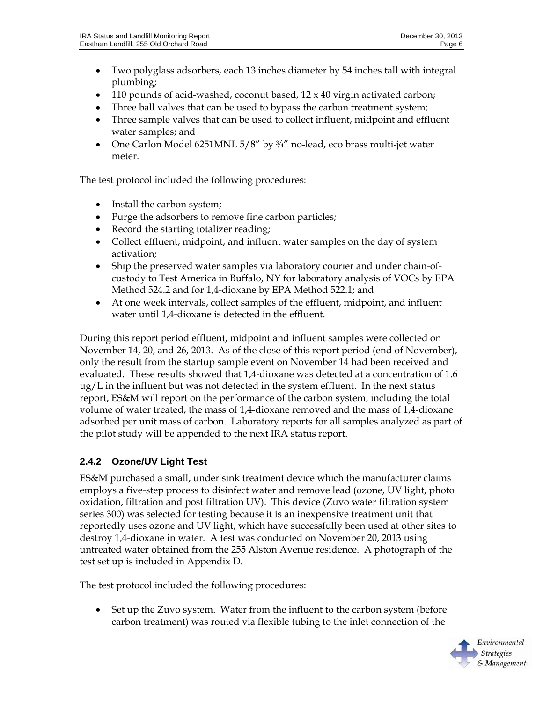- Two polyglass adsorbers, each 13 inches diameter by 54 inches tall with integral plumbing;
- 110 pounds of acid-washed, coconut based,  $12 \times 40$  virgin activated carbon;
- Three ball valves that can be used to bypass the carbon treatment system;
- Three sample valves that can be used to collect influent, midpoint and effluent water samples; and
- One Carlon Model 6251MNL 5/8" by 3/4" no-lead, eco brass multi-jet water meter.

The test protocol included the following procedures:

- Install the carbon system;
- Purge the adsorbers to remove fine carbon particles;
- Record the starting totalizer reading;
- Collect effluent, midpoint, and influent water samples on the day of system activation;
- Ship the preserved water samples via laboratory courier and under chain-ofcustody to Test America in Buffalo, NY for laboratory analysis of VOCs by EPA Method 524.2 and for 1,4-dioxane by EPA Method 522.1; and
- At one week intervals, collect samples of the effluent, midpoint, and influent water until 1,4-dioxane is detected in the effluent.

During this report period effluent, midpoint and influent samples were collected on November 14, 20, and 26, 2013. As of the close of this report period (end of November), only the result from the startup sample event on November 14 had been received and evaluated. These results showed that 1,4-dioxane was detected at a concentration of 1.6  $\mu$ g/L in the influent but was not detected in the system effluent. In the next status report, ES&M will report on the performance of the carbon system, including the total volume of water treated, the mass of 1,4-dioxane removed and the mass of 1,4-dioxane adsorbed per unit mass of carbon. Laboratory reports for all samples analyzed as part of the pilot study will be appended to the next IRA status report.

## **2.4.2 Ozone/UV Light Test**

ES&M purchased a small, under sink treatment device which the manufacturer claims employs a five-step process to disinfect water and remove lead (ozone, UV light, photo oxidation, filtration and post filtration UV). This device (Zuvo water filtration system series 300) was selected for testing because it is an inexpensive treatment unit that reportedly uses ozone and UV light, which have successfully been used at other sites to destroy 1,4-dioxane in water. A test was conducted on November 20, 2013 using untreated water obtained from the 255 Alston Avenue residence. A photograph of the test set up is included in Appendix D.

The test protocol included the following procedures:

• Set up the Zuvo system. Water from the influent to the carbon system (before carbon treatment) was routed via flexible tubing to the inlet connection of the

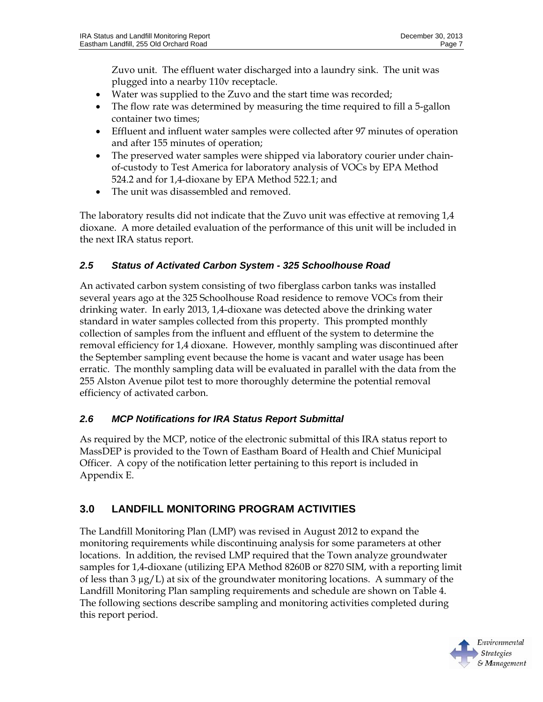Zuvo unit. The effluent water discharged into a laundry sink. The unit was plugged into a nearby 110v receptacle.

- Water was supplied to the Zuvo and the start time was recorded;
- The flow rate was determined by measuring the time required to fill a 5-gallon container two times;
- Effluent and influent water samples were collected after 97 minutes of operation and after 155 minutes of operation;
- The preserved water samples were shipped via laboratory courier under chainof-custody to Test America for laboratory analysis of VOCs by EPA Method 524.2 and for 1,4-dioxane by EPA Method 522.1; and
- The unit was disassembled and removed.

The laboratory results did not indicate that the Zuvo unit was effective at removing 1,4 dioxane. A more detailed evaluation of the performance of this unit will be included in the next IRA status report.

### *2.5 Status of Activated Carbon System - 325 Schoolhouse Road*

An activated carbon system consisting of two fiberglass carbon tanks was installed several years ago at the 325 Schoolhouse Road residence to remove VOCs from their drinking water. In early 2013, 1,4-dioxane was detected above the drinking water standard in water samples collected from this property. This prompted monthly collection of samples from the influent and effluent of the system to determine the removal efficiency for 1,4 dioxane. However, monthly sampling was discontinued after the September sampling event because the home is vacant and water usage has been erratic. The monthly sampling data will be evaluated in parallel with the data from the 255 Alston Avenue pilot test to more thoroughly determine the potential removal efficiency of activated carbon.

### *2.6 MCP Notifications for IRA Status Report Submittal*

As required by the MCP, notice of the electronic submittal of this IRA status report to MassDEP is provided to the Town of Eastham Board of Health and Chief Municipal Officer. A copy of the notification letter pertaining to this report is included in Appendix E.

## **3.0 LANDFILL MONITORING PROGRAM ACTIVITIES**

The Landfill Monitoring Plan (LMP) was revised in August 2012 to expand the monitoring requirements while discontinuing analysis for some parameters at other locations. In addition, the revised LMP required that the Town analyze groundwater samples for 1,4-dioxane (utilizing EPA Method 8260B or 8270 SIM, with a reporting limit of less than 3  $\mu$ g/L) at six of the groundwater monitoring locations. A summary of the Landfill Monitoring Plan sampling requirements and schedule are shown on Table 4. The following sections describe sampling and monitoring activities completed during this report period.

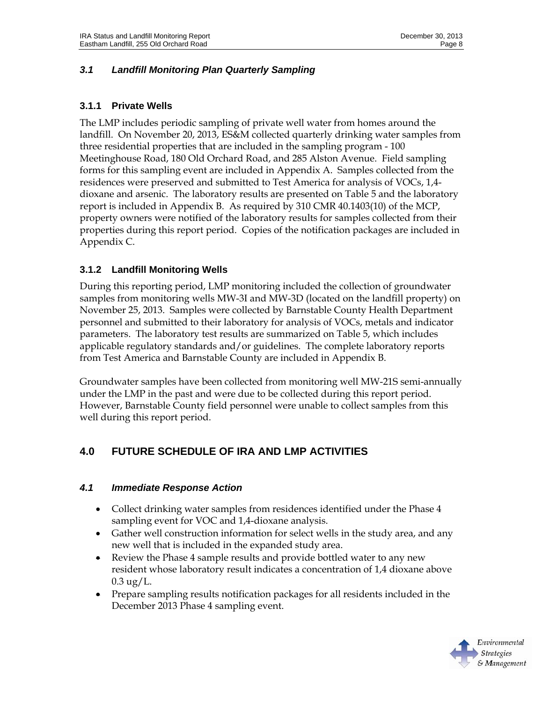### *3.1 Landfill Monitoring Plan Quarterly Sampling*

#### **3.1.1 Private Wells**

The LMP includes periodic sampling of private well water from homes around the landfill. On November 20, 2013, ES&M collected quarterly drinking water samples from three residential properties that are included in the sampling program - 100 Meetinghouse Road, 180 Old Orchard Road, and 285 Alston Avenue. Field sampling forms for this sampling event are included in Appendix A. Samples collected from the residences were preserved and submitted to Test America for analysis of VOCs, 1,4 dioxane and arsenic. The laboratory results are presented on Table 5 and the laboratory report is included in Appendix B. As required by 310 CMR 40.1403(10) of the MCP, property owners were notified of the laboratory results for samples collected from their properties during this report period. Copies of the notification packages are included in Appendix C.

### **3.1.2 Landfill Monitoring Wells**

During this reporting period, LMP monitoring included the collection of groundwater samples from monitoring wells MW-3I and MW-3D (located on the landfill property) on November 25, 2013. Samples were collected by Barnstable County Health Department personnel and submitted to their laboratory for analysis of VOCs, metals and indicator parameters. The laboratory test results are summarized on Table 5, which includes applicable regulatory standards and/or guidelines. The complete laboratory reports from Test America and Barnstable County are included in Appendix B.

Groundwater samples have been collected from monitoring well MW-21S semi-annually under the LMP in the past and were due to be collected during this report period. However, Barnstable County field personnel were unable to collect samples from this well during this report period.

## **4.0 FUTURE SCHEDULE OF IRA AND LMP ACTIVITIES**

#### *4.1 Immediate Response Action*

- Collect drinking water samples from residences identified under the Phase 4 sampling event for VOC and 1,4-dioxane analysis.
- Gather well construction information for select wells in the study area, and any new well that is included in the expanded study area.
- Review the Phase 4 sample results and provide bottled water to any new resident whose laboratory result indicates a concentration of 1,4 dioxane above  $0.3 \text{ ug}/L$ .
- Prepare sampling results notification packages for all residents included in the December 2013 Phase 4 sampling event.

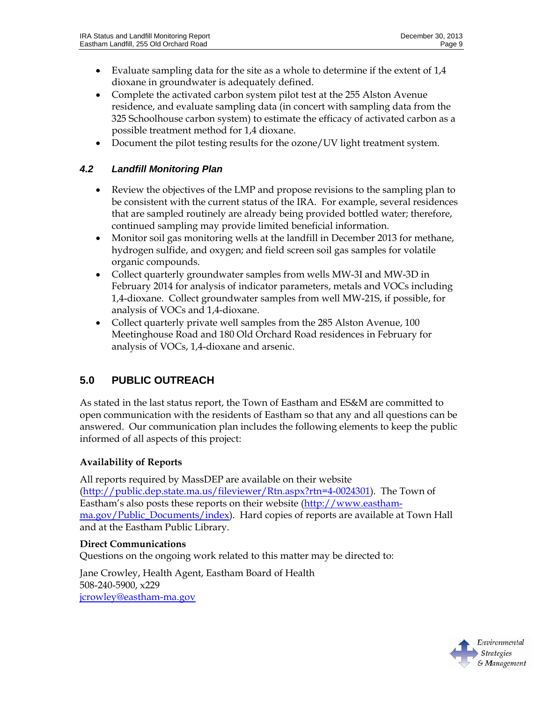- Evaluate sampling data for the site as a whole to determine if the extent of  $1.4$ dioxane in groundwater is adequately defined.
- Complete the activated carbon system pilot test at the 255 Alston Avenue residence, and evaluate sampling data (in concert with sampling data from the 325 Schoolhouse carbon system) to estimate the efficacy of activated carbon as a possible treatment method for 1,4 dioxane.
- Document the pilot testing results for the ozone/UV light treatment system.

#### *4.2 Landfill Monitoring Plan*

- Review the objectives of the LMP and propose revisions to the sampling plan to be consistent with the current status of the IRA. For example, several residences that are sampled routinely are already being provided bottled water; therefore, continued sampling may provide limited beneficial information.
- Monitor soil gas monitoring wells at the landfill in December 2013 for methane, hydrogen sulfide, and oxygen; and field screen soil gas samples for volatile organic compounds.
- Collect quarterly groundwater samples from wells MW-3I and MW-3D in February 2014 for analysis of indicator parameters, metals and VOCs including 1,4-dioxane. Collect groundwater samples from well MW-21S, if possible, for analysis of VOCs and 1,4-dioxane.
- Collect quarterly private well samples from the 285 Alston Avenue, 100 Meetinghouse Road and 180 Old Orchard Road residences in February for analysis of VOCs, 1,4-dioxane and arsenic.

## **5.0 PUBLIC OUTREACH**

As stated in the last status report, the Town of Eastham and ES&M are committed to open communication with the residents of Eastham so that any and all questions can be answered. Our communication plan includes the following elements to keep the public informed of all aspects of this project:

#### **Availability of Reports**

All reports required by MassDEP are available on their website (http://public.dep.state.ma.us/fileviewer/Rtn.aspx?rtn=4-0024301). The Town of Eastham's also posts these reports on their website (http://www.easthamma.gov/Public\_Documents/index). Hard copies of reports are available at Town Hall and at the Eastham Public Library.

#### **Direct Communications**

Questions on the ongoing work related to this matter may be directed to:

Jane Crowley, Health Agent, Eastham Board of Health 508-240-5900, x229 jcrowley@eastham-ma.gov